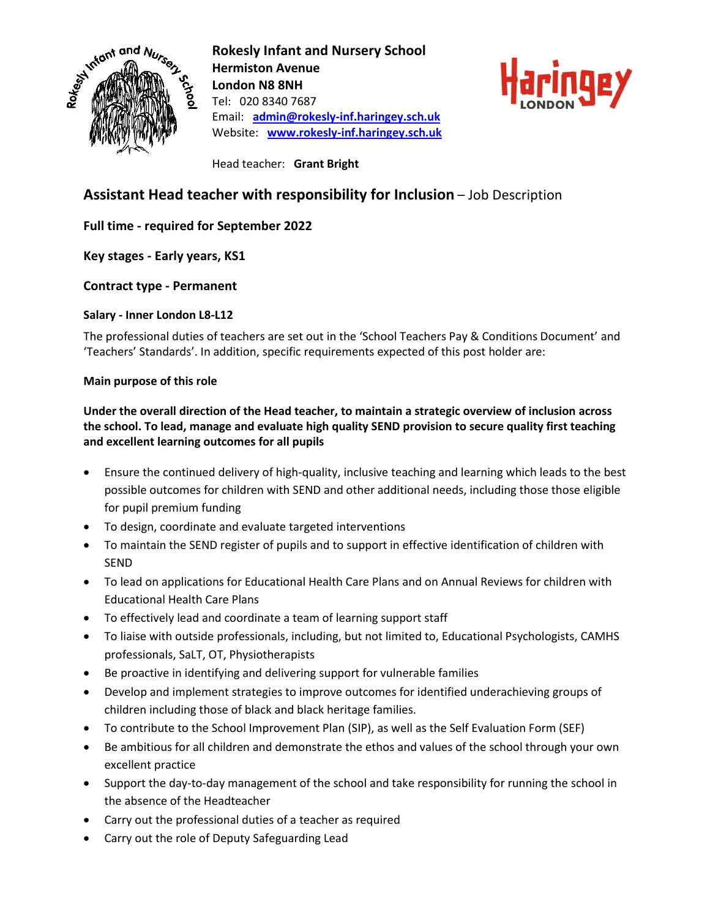

**Rokesly Infant and Nursery School Hermiston Avenue London N8 8NH** Tel: 020 8340 7687 Email: **[admin@rokesly-inf.haringey.sch.uk](mailto:admin@rokesly-inf.haringey.sch.uk)** Website: **[www.rokesly-inf.haringey.sch.uk](http://www.rokesly-inf.haringey.sch.uk/)**



Head teacher: **Grant Bright**

# **Assistant Head teacher with responsibility for Inclusion** – Job Description

## **Full time - required for September 2022**

**Key stages - Early years, KS1**

### **Contract type - Permanent**

### **Salary - Inner London L8-L12**

The professional duties of teachers are set out in the 'School Teachers Pay & Conditions Document' and 'Teachers' Standards'. In addition, specific requirements expected of this post holder are:

### **Main purpose of this role**

## **Under the overall direction of the Head teacher, to maintain a strategic overview of inclusion across the school. To lead, manage and evaluate high quality SEND provision to secure quality first teaching and excellent learning outcomes for all pupils**

- Ensure the continued delivery of high-quality, inclusive teaching and learning which leads to the best possible outcomes for children with SEND and other additional needs, including those those eligible for pupil premium funding
- To design, coordinate and evaluate targeted interventions
- To maintain the SEND register of pupils and to support in effective identification of children with SEND
- To lead on applications for Educational Health Care Plans and on Annual Reviews for children with Educational Health Care Plans
- To effectively lead and coordinate a team of learning support staff
- To liaise with outside professionals, including, but not limited to, Educational Psychologists, CAMHS professionals, SaLT, OT, Physiotherapists
- Be proactive in identifying and delivering support for vulnerable families
- Develop and implement strategies to improve outcomes for identified underachieving groups of children including those of black and black heritage families.
- To contribute to the School Improvement Plan (SIP), as well as the Self Evaluation Form (SEF)
- Be ambitious for all children and demonstrate the ethos and values of the school through your own excellent practice
- Support the day-to-day management of the school and take responsibility for running the school in the absence of the Headteacher
- Carry out the professional duties of a teacher as required
- Carry out the role of Deputy Safeguarding Lead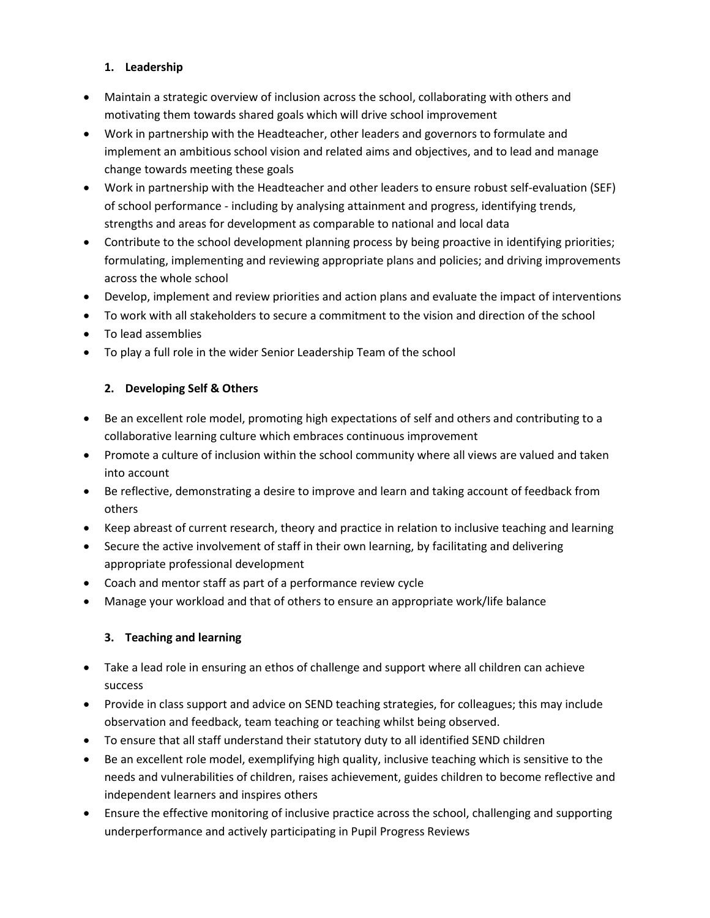## **1. Leadership**

- Maintain a strategic overview of inclusion across the school, collaborating with others and motivating them towards shared goals which will drive school improvement
- Work in partnership with the Headteacher, other leaders and governors to formulate and implement an ambitious school vision and related aims and objectives, and to lead and manage change towards meeting these goals
- Work in partnership with the Headteacher and other leaders to ensure robust self-evaluation (SEF) of school performance - including by analysing attainment and progress, identifying trends, strengths and areas for development as comparable to national and local data
- Contribute to the school development planning process by being proactive in identifying priorities; formulating, implementing and reviewing appropriate plans and policies; and driving improvements across the whole school
- Develop, implement and review priorities and action plans and evaluate the impact of interventions
- To work with all stakeholders to secure a commitment to the vision and direction of the school
- To lead assemblies
- To play a full role in the wider Senior Leadership Team of the school

# **2. Developing Self & Others**

- Be an excellent role model, promoting high expectations of self and others and contributing to a collaborative learning culture which embraces continuous improvement
- Promote a culture of inclusion within the school community where all views are valued and taken into account
- Be reflective, demonstrating a desire to improve and learn and taking account of feedback from others
- Keep abreast of current research, theory and practice in relation to inclusive teaching and learning
- Secure the active involvement of staff in their own learning, by facilitating and delivering appropriate professional development
- Coach and mentor staff as part of a performance review cycle
- Manage your workload and that of others to ensure an appropriate work/life balance

# **3. Teaching and learning**

- Take a lead role in ensuring an ethos of challenge and support where all children can achieve success
- Provide in class support and advice on SEND teaching strategies, for colleagues; this may include observation and feedback, team teaching or teaching whilst being observed.
- To ensure that all staff understand their statutory duty to all identified SEND children
- Be an excellent role model, exemplifying high quality, inclusive teaching which is sensitive to the needs and vulnerabilities of children, raises achievement, guides children to become reflective and independent learners and inspires others
- Ensure the effective monitoring of inclusive practice across the school, challenging and supporting underperformance and actively participating in Pupil Progress Reviews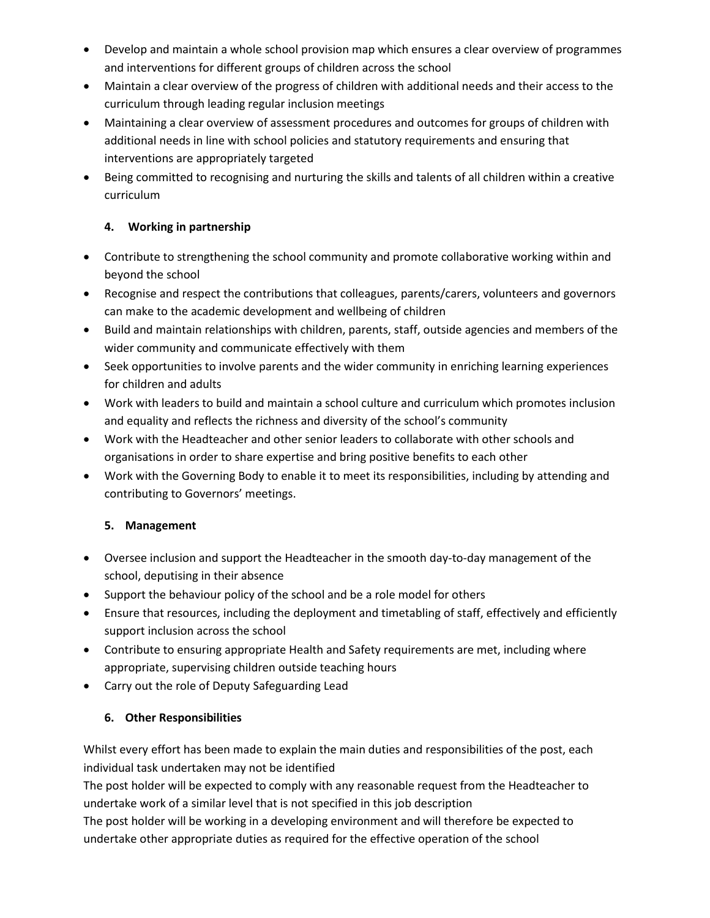- Develop and maintain a whole school provision map which ensures a clear overview of programmes and interventions for different groups of children across the school
- Maintain a clear overview of the progress of children with additional needs and their access to the curriculum through leading regular inclusion meetings
- Maintaining a clear overview of assessment procedures and outcomes for groups of children with additional needs in line with school policies and statutory requirements and ensuring that interventions are appropriately targeted
- Being committed to recognising and nurturing the skills and talents of all children within a creative curriculum

## **4. Working in partnership**

- Contribute to strengthening the school community and promote collaborative working within and beyond the school
- Recognise and respect the contributions that colleagues, parents/carers, volunteers and governors can make to the academic development and wellbeing of children
- Build and maintain relationships with children, parents, staff, outside agencies and members of the wider community and communicate effectively with them
- Seek opportunities to involve parents and the wider community in enriching learning experiences for children and adults
- Work with leaders to build and maintain a school culture and curriculum which promotes inclusion and equality and reflects the richness and diversity of the school's community
- Work with the Headteacher and other senior leaders to collaborate with other schools and organisations in order to share expertise and bring positive benefits to each other
- Work with the Governing Body to enable it to meet its responsibilities, including by attending and contributing to Governors' meetings.

## **5. Management**

- Oversee inclusion and support the Headteacher in the smooth day-to-day management of the school, deputising in their absence
- Support the behaviour policy of the school and be a role model for others
- Ensure that resources, including the deployment and timetabling of staff, effectively and efficiently support inclusion across the school
- Contribute to ensuring appropriate Health and Safety requirements are met, including where appropriate, supervising children outside teaching hours
- Carry out the role of Deputy Safeguarding Lead

## **6. Other Responsibilities**

Whilst every effort has been made to explain the main duties and responsibilities of the post, each individual task undertaken may not be identified

The post holder will be expected to comply with any reasonable request from the Headteacher to undertake work of a similar level that is not specified in this job description

The post holder will be working in a developing environment and will therefore be expected to undertake other appropriate duties as required for the effective operation of the school